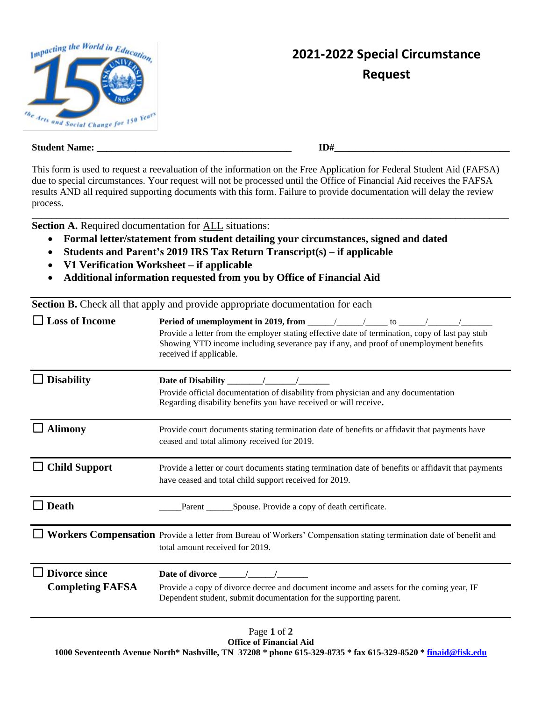

## **2021-2022 Special Circumstance Request**

| <b>Student</b><br>Name: | LD† |
|-------------------------|-----|
|-------------------------|-----|

This form is used to request a reevaluation of the information on the Free Application for Federal Student Aid (FAFSA) due to special circumstances. Your request will not be processed until the Office of Financial Aid receives the FAFSA results AND all required supporting documents with this form. Failure to provide documentation will delay the review process. \_\_\_\_\_\_\_\_\_\_\_\_\_\_\_\_\_\_\_\_\_\_\_\_\_\_\_\_\_\_\_\_\_\_\_\_\_\_\_\_\_\_\_\_\_\_\_\_\_\_\_\_\_\_\_\_\_\_\_\_\_\_\_\_\_\_\_\_\_\_\_\_\_\_\_\_\_\_\_\_\_\_\_\_\_\_\_\_\_\_\_\_\_\_\_\_\_\_

**Section A.** Required documentation for **ALL** situations:

- **Formal letter/statement from student detailing your circumstances, signed and dated**
- **Students and Parent's 2019 IRS Tax Return Transcript(s) – if applicable**
- **V1 Verification Worksheet – if applicable**
- **Additional information requested from you by Office of Financial Aid**

**Section B.** Check all that apply and provide appropriate documentation for each

| <b>Loss of Income</b>                           | Period of unemployment in 2019, from $\frac{\sqrt{2}}{2}$ / $\frac{\sqrt{2}}{2}$ to $\frac{\sqrt{2}}{2}$<br>Provide a letter from the employer stating effective date of termination, copy of last pay stub<br>Showing YTD income including severance pay if any, and proof of unemployment benefits<br>received if applicable. |  |  |  |
|-------------------------------------------------|---------------------------------------------------------------------------------------------------------------------------------------------------------------------------------------------------------------------------------------------------------------------------------------------------------------------------------|--|--|--|
| <b>Disability</b>                               | Date of Disability<br>Provide official documentation of disability from physician and any documentation<br>Regarding disability benefits you have received or will receive.                                                                                                                                                     |  |  |  |
| <b>Alimony</b>                                  | Provide court documents stating termination date of benefits or affidavit that payments have<br>ceased and total alimony received for 2019.                                                                                                                                                                                     |  |  |  |
| <b>Child Support</b>                            | Provide a letter or court documents stating termination date of benefits or affidavit that payments<br>have ceased and total child support received for 2019.                                                                                                                                                                   |  |  |  |
| <b>Death</b>                                    | Spouse. Provide a copy of death certificate.<br>Parent                                                                                                                                                                                                                                                                          |  |  |  |
|                                                 | Workers Compensation Provide a letter from Bureau of Workers' Compensation stating termination date of benefit and<br>total amount received for 2019.                                                                                                                                                                           |  |  |  |
| <b>Divorce since</b><br><b>Completing FAFSA</b> | Date of divorce / /<br>Provide a copy of divorce decree and document income and assets for the coming year, IF<br>Dependent student, submit documentation for the supporting parent.                                                                                                                                            |  |  |  |